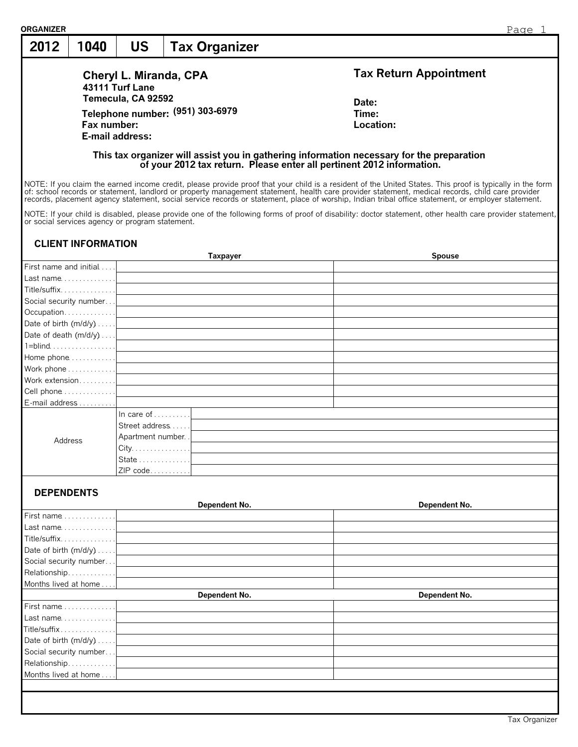| 2012                                            | 1040                      | <b>US</b>                                  | <b>Tax Organizer</b>                                                                                                                                                                                                          |                                                                                                                                                                                                                                                                                                                                 |
|-------------------------------------------------|---------------------------|--------------------------------------------|-------------------------------------------------------------------------------------------------------------------------------------------------------------------------------------------------------------------------------|---------------------------------------------------------------------------------------------------------------------------------------------------------------------------------------------------------------------------------------------------------------------------------------------------------------------------------|
|                                                 |                           |                                            |                                                                                                                                                                                                                               |                                                                                                                                                                                                                                                                                                                                 |
|                                                 |                           | 43111 Turf Lane                            | Cheryl L. Miranda, CPA                                                                                                                                                                                                        | <b>Tax Return Appointment</b>                                                                                                                                                                                                                                                                                                   |
|                                                 |                           | Temecula, CA 92592                         |                                                                                                                                                                                                                               |                                                                                                                                                                                                                                                                                                                                 |
|                                                 |                           |                                            |                                                                                                                                                                                                                               | Date:                                                                                                                                                                                                                                                                                                                           |
|                                                 |                           |                                            | Telephone number: (951) 303-6979                                                                                                                                                                                              | Time:                                                                                                                                                                                                                                                                                                                           |
|                                                 | Fax number:               |                                            |                                                                                                                                                                                                                               | Location:                                                                                                                                                                                                                                                                                                                       |
|                                                 |                           | E-mail address:                            |                                                                                                                                                                                                                               |                                                                                                                                                                                                                                                                                                                                 |
|                                                 |                           |                                            |                                                                                                                                                                                                                               | This tax organizer will assist you in gathering information necessary for the preparation<br>of your 2012 tax return. Please enter all pertinent 2012 information.<br>NOTE: If you claim the earned income credit, please provide proof that your child is a resident of the United States. This proof is typically in the form |
|                                                 |                           |                                            |                                                                                                                                                                                                                               | of: school records or statement, landlord or property management statement, health care provider statement, medical records, child care provider<br>records, placement agency statement, social service records or statement, place of worship, Indian tribal office statement, or employer statement.                          |
| or social services agency or program statement. |                           |                                            |                                                                                                                                                                                                                               | NOTE: If your child is disabled, please provide one of the following forms of proof of disability: doctor statement, other health care provider statement,                                                                                                                                                                      |
|                                                 | <b>CLIENT INFORMATION</b> |                                            |                                                                                                                                                                                                                               |                                                                                                                                                                                                                                                                                                                                 |
|                                                 |                           |                                            | Taxpayer                                                                                                                                                                                                                      | <b>Spouse</b>                                                                                                                                                                                                                                                                                                                   |
| First name and initial<br>Last name             |                           |                                            |                                                                                                                                                                                                                               |                                                                                                                                                                                                                                                                                                                                 |
|                                                 |                           |                                            |                                                                                                                                                                                                                               |                                                                                                                                                                                                                                                                                                                                 |
| Title/suffix                                    |                           |                                            | the control of the control of the control of the control of the control of the control of the control of the control of the control of the control of the control of the control of the control of the control of the control |                                                                                                                                                                                                                                                                                                                                 |
| Social security number                          |                           |                                            |                                                                                                                                                                                                                               |                                                                                                                                                                                                                                                                                                                                 |
| Occupation                                      |                           |                                            |                                                                                                                                                                                                                               |                                                                                                                                                                                                                                                                                                                                 |
| Date of birth (m/d/y)                           |                           |                                            |                                                                                                                                                                                                                               |                                                                                                                                                                                                                                                                                                                                 |
|                                                 |                           |                                            | Date of death $(m/d/y) \ldots$ .                                                                                                                                                                                              |                                                                                                                                                                                                                                                                                                                                 |
| $1 = blind$                                     |                           |                                            |                                                                                                                                                                                                                               |                                                                                                                                                                                                                                                                                                                                 |
| Home phone                                      |                           |                                            |                                                                                                                                                                                                                               |                                                                                                                                                                                                                                                                                                                                 |
| Work phone                                      |                           |                                            |                                                                                                                                                                                                                               |                                                                                                                                                                                                                                                                                                                                 |
| Work extension                                  |                           |                                            |                                                                                                                                                                                                                               |                                                                                                                                                                                                                                                                                                                                 |
| Cell phone                                      |                           |                                            | <u> 1989 - Johann John Stone, Amerikaansk politiker († 1908)</u>                                                                                                                                                              |                                                                                                                                                                                                                                                                                                                                 |
| E-mail address                                  |                           |                                            |                                                                                                                                                                                                                               |                                                                                                                                                                                                                                                                                                                                 |
|                                                 |                           | In care of $\dots$                         |                                                                                                                                                                                                                               |                                                                                                                                                                                                                                                                                                                                 |
|                                                 |                           | Street address                             |                                                                                                                                                                                                                               | and the control of the control of the control of the control of the control of the control of the control of the                                                                                                                                                                                                                |
|                                                 |                           | Apartment number. .                        |                                                                                                                                                                                                                               |                                                                                                                                                                                                                                                                                                                                 |
| Address                                         |                           | $City. \ldots \ldots \ldots \ldots \ldots$ |                                                                                                                                                                                                                               |                                                                                                                                                                                                                                                                                                                                 |
|                                                 |                           | State 1                                    |                                                                                                                                                                                                                               |                                                                                                                                                                                                                                                                                                                                 |
|                                                 |                           | ZIP code                                   |                                                                                                                                                                                                                               |                                                                                                                                                                                                                                                                                                                                 |
|                                                 |                           |                                            |                                                                                                                                                                                                                               |                                                                                                                                                                                                                                                                                                                                 |
| <b>DEPENDENTS</b>                               |                           |                                            | Dependent No.                                                                                                                                                                                                                 | Dependent No.                                                                                                                                                                                                                                                                                                                   |
| First name                                      |                           |                                            |                                                                                                                                                                                                                               |                                                                                                                                                                                                                                                                                                                                 |
| Last name                                       |                           |                                            |                                                                                                                                                                                                                               |                                                                                                                                                                                                                                                                                                                                 |
| Title/suffix                                    |                           |                                            |                                                                                                                                                                                                                               |                                                                                                                                                                                                                                                                                                                                 |
| Date of birth (m/d/y)                           |                           |                                            |                                                                                                                                                                                                                               |                                                                                                                                                                                                                                                                                                                                 |
| Social security number                          |                           |                                            |                                                                                                                                                                                                                               |                                                                                                                                                                                                                                                                                                                                 |
| Relationship                                    |                           |                                            |                                                                                                                                                                                                                               |                                                                                                                                                                                                                                                                                                                                 |
| Months lived at home                            |                           |                                            |                                                                                                                                                                                                                               |                                                                                                                                                                                                                                                                                                                                 |
|                                                 |                           |                                            | Dependent No.                                                                                                                                                                                                                 | Dependent No.                                                                                                                                                                                                                                                                                                                   |
| First name $\ldots \ldots \ldots \ldots$        |                           |                                            |                                                                                                                                                                                                                               |                                                                                                                                                                                                                                                                                                                                 |
| Last name                                       |                           |                                            |                                                                                                                                                                                                                               |                                                                                                                                                                                                                                                                                                                                 |
| Title/suffix                                    |                           |                                            |                                                                                                                                                                                                                               |                                                                                                                                                                                                                                                                                                                                 |
| Date of birth (m/d/y)                           |                           |                                            |                                                                                                                                                                                                                               |                                                                                                                                                                                                                                                                                                                                 |
| Social security number                          |                           |                                            |                                                                                                                                                                                                                               |                                                                                                                                                                                                                                                                                                                                 |
| Relationship                                    |                           |                                            |                                                                                                                                                                                                                               |                                                                                                                                                                                                                                                                                                                                 |
| Months lived at home                            |                           |                                            |                                                                                                                                                                                                                               |                                                                                                                                                                                                                                                                                                                                 |
|                                                 |                           |                                            |                                                                                                                                                                                                                               |                                                                                                                                                                                                                                                                                                                                 |

 $\overline{\phantom{a}}$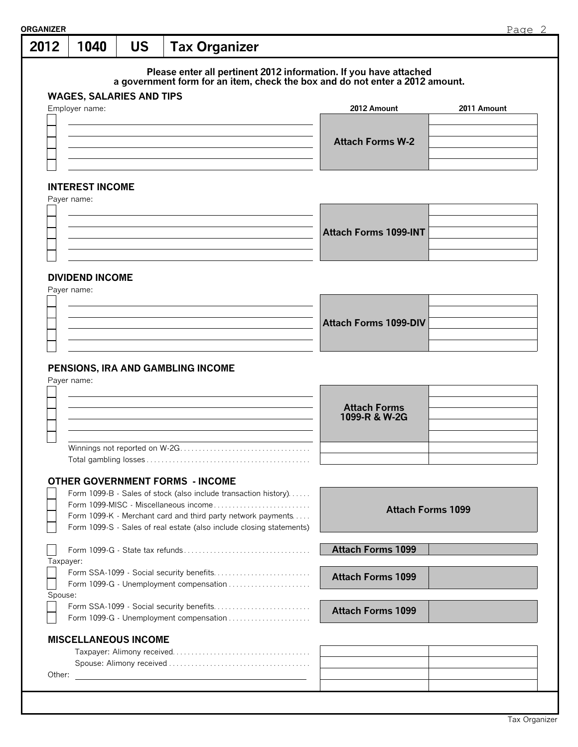| 2012      | 1040                                             | <b>US</b> | <b>Tax Organizer</b> |                                                                      |                                                                                                                                                   |                          |             |
|-----------|--------------------------------------------------|-----------|----------------------|----------------------------------------------------------------------|---------------------------------------------------------------------------------------------------------------------------------------------------|--------------------------|-------------|
|           |                                                  |           |                      |                                                                      |                                                                                                                                                   |                          |             |
|           |                                                  |           |                      |                                                                      | Please enter all pertinent 2012 information. If you have attached<br>a government form for an item, check the box and do not enter a 2012 amount. |                          |             |
|           | <b>WAGES, SALARIES AND TIPS</b>                  |           |                      |                                                                      |                                                                                                                                                   |                          |             |
|           | Employer name:                                   |           |                      |                                                                      | 2012 Amount                                                                                                                                       |                          | 2011 Amount |
|           |                                                  |           |                      |                                                                      |                                                                                                                                                   |                          |             |
|           |                                                  |           |                      |                                                                      |                                                                                                                                                   |                          |             |
|           |                                                  |           |                      |                                                                      | <b>Attach Forms W-2</b>                                                                                                                           |                          |             |
|           |                                                  |           |                      |                                                                      |                                                                                                                                                   |                          |             |
|           | <b>INTEREST INCOME</b>                           |           |                      |                                                                      |                                                                                                                                                   |                          |             |
|           | Payer name:                                      |           |                      |                                                                      |                                                                                                                                                   |                          |             |
|           |                                                  |           |                      |                                                                      |                                                                                                                                                   |                          |             |
|           |                                                  |           |                      |                                                                      |                                                                                                                                                   |                          |             |
|           |                                                  |           |                      |                                                                      | <b>Attach Forms 1099-INT</b>                                                                                                                      |                          |             |
|           |                                                  |           |                      |                                                                      |                                                                                                                                                   |                          |             |
|           |                                                  |           |                      |                                                                      |                                                                                                                                                   |                          |             |
|           | <b>DIVIDEND INCOME</b>                           |           |                      |                                                                      |                                                                                                                                                   |                          |             |
|           | Payer name:                                      |           |                      |                                                                      |                                                                                                                                                   |                          |             |
|           |                                                  |           |                      |                                                                      |                                                                                                                                                   |                          |             |
|           |                                                  |           |                      |                                                                      | <b>Attach Forms 1099-DIV</b>                                                                                                                      |                          |             |
|           |                                                  |           |                      |                                                                      |                                                                                                                                                   |                          |             |
|           |                                                  |           |                      |                                                                      |                                                                                                                                                   |                          |             |
|           |                                                  |           |                      |                                                                      |                                                                                                                                                   |                          |             |
|           | PENSIONS, IRA AND GAMBLING INCOME<br>Payer name: |           |                      |                                                                      |                                                                                                                                                   |                          |             |
|           |                                                  |           |                      |                                                                      | <b>Attach Forms</b>                                                                                                                               |                          |             |
|           |                                                  |           |                      |                                                                      | 1099-R & W-2G                                                                                                                                     |                          |             |
|           |                                                  |           |                      |                                                                      |                                                                                                                                                   |                          |             |
|           | Winnings not reported on W-2G                    |           |                      |                                                                      |                                                                                                                                                   |                          |             |
|           |                                                  |           |                      |                                                                      |                                                                                                                                                   |                          |             |
|           | <b>OTHER GOVERNMENT FORMS - INCOME</b>           |           |                      |                                                                      |                                                                                                                                                   |                          |             |
|           |                                                  |           |                      | Form 1099-B - Sales of stock (also include transaction history)      |                                                                                                                                                   |                          |             |
|           |                                                  |           |                      | Form 1099-MISC - Miscellaneous income                                |                                                                                                                                                   |                          |             |
|           |                                                  |           |                      | Form 1099-K - Merchant card and third party network payments         |                                                                                                                                                   | <b>Attach Forms 1099</b> |             |
|           |                                                  |           |                      | Form 1099-S - Sales of real estate (also include closing statements) |                                                                                                                                                   |                          |             |
|           |                                                  |           |                      |                                                                      | <b>Attach Forms 1099</b>                                                                                                                          |                          |             |
| Taxpayer: |                                                  |           |                      |                                                                      |                                                                                                                                                   |                          |             |
|           |                                                  |           |                      |                                                                      | <b>Attach Forms 1099</b>                                                                                                                          |                          |             |
|           |                                                  |           |                      | Form 1099-G - Unemployment compensation                              |                                                                                                                                                   |                          |             |
| Spouse:   |                                                  |           |                      |                                                                      |                                                                                                                                                   |                          |             |
|           |                                                  |           |                      | Form 1099-G - Unemployment compensation                              | <b>Attach Forms 1099</b>                                                                                                                          |                          |             |
|           |                                                  |           |                      |                                                                      |                                                                                                                                                   |                          |             |
|           | <b>MISCELLANEOUS INCOME</b>                      |           |                      |                                                                      |                                                                                                                                                   |                          |             |
|           |                                                  |           |                      |                                                                      |                                                                                                                                                   |                          |             |
| Other:    |                                                  |           |                      |                                                                      |                                                                                                                                                   |                          |             |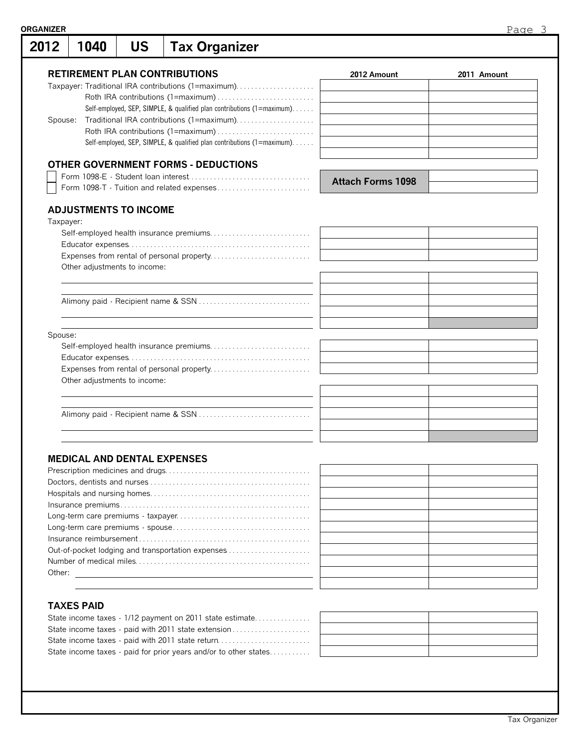| <b>ORGANIZER</b> |      |                                    |                                                                         |                          | Page 3      |
|------------------|------|------------------------------------|-------------------------------------------------------------------------|--------------------------|-------------|
| 2012             | 1040 | <b>US</b>                          | <b>Tax Organizer</b>                                                    |                          |             |
|                  |      |                                    | <b>RETIREMENT PLAN CONTRIBUTIONS</b>                                    | 2012 Amount              | 2011 Amount |
|                  |      |                                    | Taxpayer: Traditional IRA contributions (1=maximum)                     |                          |             |
|                  |      |                                    |                                                                         |                          |             |
|                  |      |                                    | Self-employed, SEP, SIMPLE, & qualified plan contributions (1=maximum). |                          |             |
| Spouse:          |      |                                    | Traditional IRA contributions (1=maximum)                               |                          |             |
|                  |      |                                    |                                                                         |                          |             |
|                  |      |                                    | Self-employed, SEP, SIMPLE, & qualified plan contributions (1=maximum). |                          |             |
|                  |      |                                    | <b>OTHER GOVERNMENT FORMS - DEDUCTIONS</b>                              |                          |             |
|                  |      |                                    |                                                                         |                          |             |
|                  |      |                                    | Form 1098-T - Tuition and related expenses                              | <b>Attach Forms 1098</b> |             |
|                  |      |                                    |                                                                         |                          |             |
|                  |      | <b>ADJUSTMENTS TO INCOME</b>       |                                                                         |                          |             |
| Taxpayer:        |      |                                    |                                                                         |                          |             |
|                  |      |                                    |                                                                         |                          |             |
|                  |      |                                    |                                                                         |                          |             |
|                  |      |                                    |                                                                         |                          |             |
|                  |      | Other adjustments to income:       |                                                                         |                          |             |
|                  |      |                                    |                                                                         |                          |             |
|                  |      |                                    |                                                                         |                          |             |
|                  |      |                                    |                                                                         |                          |             |
|                  |      |                                    |                                                                         |                          |             |
| Spouse:          |      |                                    |                                                                         |                          |             |
|                  |      |                                    |                                                                         |                          |             |
|                  |      |                                    |                                                                         |                          |             |
|                  |      |                                    |                                                                         |                          |             |
|                  |      | Other adjustments to income:       |                                                                         |                          |             |
|                  |      |                                    |                                                                         |                          |             |
|                  |      |                                    |                                                                         |                          |             |
|                  |      |                                    |                                                                         |                          |             |
|                  |      |                                    |                                                                         |                          |             |
|                  |      |                                    |                                                                         |                          |             |
|                  |      | <b>MEDICAL AND DENTAL EXPENSES</b> |                                                                         |                          |             |
|                  |      |                                    |                                                                         |                          |             |
|                  |      |                                    |                                                                         |                          |             |
|                  |      |                                    |                                                                         |                          |             |
|                  |      |                                    |                                                                         |                          |             |
|                  |      |                                    |                                                                         |                          |             |
|                  |      |                                    |                                                                         |                          |             |
|                  |      |                                    |                                                                         |                          |             |
|                  |      |                                    | Out-of-pocket lodging and transportation expenses                       |                          |             |
|                  |      |                                    |                                                                         |                          |             |

## **TAXES PAID**

Number of medical miles. . . . . . . . . . . . . . . . . . . . . . . . . . . . . . . . . . . . . . . . . . . . . . . Other:

| State income taxes - paid with 2011 state extension              |  |
|------------------------------------------------------------------|--|
| State income taxes - paid with 2011 state return                 |  |
| State income taxes - paid for prior years and/or to other states |  |